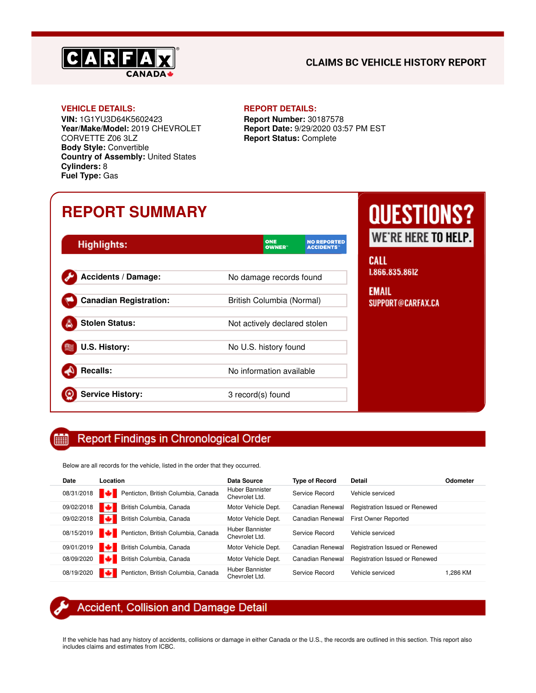

### **CLAIMS BC VEHICLE HISTORY REPORT**

### **VEHICLE DETAILS: REPORT DETAILS:**

**VIN:** 1G1YU3D64K5602423 **Year/Make/Model:** 2019 CHEVROLET CORVETTE Z06 3LZ **Body Style:** Convertible **Country of Assembly:** United States **Cylinders:** 8 **Fuel Type:** Gas

**Report Number:** 30187578 **Report Date:** 9/29/2020 03:57 PM EST **Report Status:** Complete

## **REPORT SUMMARY**

| <b>Highlights:</b>            | <b>ONE</b><br><b>NO REPORTED</b><br><b>OWNER</b> "<br><b>ACCIDENTS</b> |
|-------------------------------|------------------------------------------------------------------------|
| <b>Accidents / Damage:</b>    | No damage records found                                                |
| <b>Canadian Registration:</b> | British Columbia (Normal)                                              |
| <b>Stolen Status:</b>         | Not actively declared stolen                                           |
| <b>U.S. History:</b>          | No U.S. history found                                                  |
| <b>Recalls:</b>               | No information available                                               |
| <b>Service History:</b>       | 3 record(s) found                                                      |

# **QUESTIONS?** WE'RE HERE TO HELP.

**CALL** 1.866.835.8612

**EMAIL** SUPPORT@CARFAX.CA

#### **Report Findings in Chronological Order** Ė

Below are all records for the vehicle, listed in the order that they occurred.

| Date       | Location                                       | Data Source                       | <b>Type of Record</b> | <b>Detail</b>                  | Odometer |
|------------|------------------------------------------------|-----------------------------------|-----------------------|--------------------------------|----------|
|            | 08/31/2018 Penticton, British Columbia, Canada | Huber Bannister<br>Chevrolet Ltd. | Service Record        | Vehicle serviced               |          |
| 09/02/2018 | м<br>British Columbia, Canada                  | Motor Vehicle Dept.               | Canadian Renewal      | Registration Issued or Renewed |          |
| 09/02/2018 | м<br>British Columbia, Canada                  | Motor Vehicle Dept.               | Canadian Renewal      | First Owner Reported           |          |
|            | 08/15/2019 Penticton, British Columbia, Canada | Huber Bannister<br>Chevrolet Ltd. | Service Record        | Vehicle serviced               |          |
| 09/01/2019 | m<br>British Columbia, Canada                  | Motor Vehicle Dept.               | Canadian Renewal      | Registration Issued or Renewed |          |
| 08/09/2020 | British Columbia, Canada                       | Motor Vehicle Dept.               | Canadian Renewal      | Registration Issued or Renewed |          |
| 08/19/2020 | Penticton, British Columbia, Canada            | Huber Bannister<br>Chevrolet Ltd. | Service Record        | Vehicle serviced               | l.286 KM |

## Accident, Collision and Damage Detail

If the vehicle has had any history of accidents, collisions or damage in either Canada or the U.S., the records are outlined in this section. This report also includes claims and estimates from ICBC.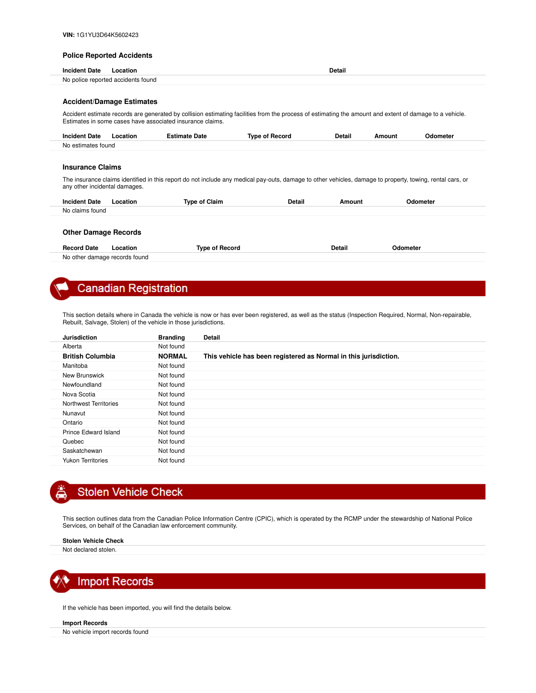#### **Police Reported Accidents**

| <b>Incident Date</b>                                                                                                                                                                                                 | Location                           |                                                                                                                                                           |                       | <b>Detail</b> |          |          |  |
|----------------------------------------------------------------------------------------------------------------------------------------------------------------------------------------------------------------------|------------------------------------|-----------------------------------------------------------------------------------------------------------------------------------------------------------|-----------------------|---------------|----------|----------|--|
|                                                                                                                                                                                                                      | No police reported accidents found |                                                                                                                                                           |                       |               |          |          |  |
|                                                                                                                                                                                                                      |                                    |                                                                                                                                                           |                       |               |          |          |  |
|                                                                                                                                                                                                                      | <b>Accident/Damage Estimates</b>   |                                                                                                                                                           |                       |               |          |          |  |
| Accident estimate records are generated by collision estimating facilities from the process of estimating the amount and extent of damage to a vehicle.<br>Estimates in some cases have associated insurance claims. |                                    |                                                                                                                                                           |                       |               |          |          |  |
| <b>Incident Date</b>                                                                                                                                                                                                 | Location                           | <b>Estimate Date</b>                                                                                                                                      | <b>Type of Record</b> | <b>Detail</b> | Amount   | Odometer |  |
| No estimates found                                                                                                                                                                                                   |                                    |                                                                                                                                                           |                       |               |          |          |  |
| <b>Insurance Claims</b><br>any other incidental damages.                                                                                                                                                             |                                    | The insurance claims identified in this report do not include any medical pay-outs, damage to other vehicles, damage to property, towing, rental cars, or |                       |               |          |          |  |
| <b>Incident Date</b>                                                                                                                                                                                                 | Location                           | <b>Type of Claim</b>                                                                                                                                      | Detail                | Amount        |          | Odometer |  |
| No claims found                                                                                                                                                                                                      |                                    |                                                                                                                                                           |                       |               |          |          |  |
| <b>Other Damage Records</b>                                                                                                                                                                                          |                                    |                                                                                                                                                           |                       |               |          |          |  |
| <b>Record Date</b>                                                                                                                                                                                                   | Location                           | <b>Type of Record</b>                                                                                                                                     |                       | Detail        | Odometer |          |  |

#### No other damage records found

## **Canadian Registration**

This section details where in Canada the vehicle is now or has ever been registered, as well as the status (Inspection Required, Normal, Non-repairable, Rebuilt, Salvage, Stolen) of the vehicle in those jurisdictions.

| <b>Jurisdiction</b>      | <b>Branding</b> | <b>Detail</b>                                                    |
|--------------------------|-----------------|------------------------------------------------------------------|
| Alberta                  | Not found       |                                                                  |
| <b>British Columbia</b>  | <b>NORMAL</b>   | This vehicle has been registered as Normal in this jurisdiction. |
| Manitoba                 | Not found       |                                                                  |
| New Brunswick            | Not found       |                                                                  |
| Newfoundland             | Not found       |                                                                  |
| Nova Scotia              | Not found       |                                                                  |
| Northwest Territories    | Not found       |                                                                  |
| Nunavut                  | Not found       |                                                                  |
| Ontario                  | Not found       |                                                                  |
| Prince Edward Island     | Not found       |                                                                  |
| Quebec                   | Not found       |                                                                  |
| Saskatchewan             | Not found       |                                                                  |
| <b>Yukon Territories</b> | Not found       |                                                                  |



## **Stolen Vehicle Check**

This section outlines data from the Canadian Police Information Centre (CPIC), which is operated by the RCMP under the stewardship of National Police Services, on behalf of the Canadian law enforcement community.

#### **Stolen Vehicle Check**

Not declared stolen.



If the vehicle has been imported, you will find the details below.

#### **Import Records**

No vehicle import records found